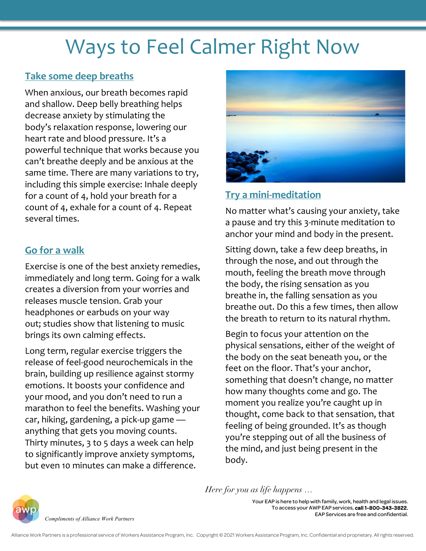# Ways to Feel Calmer Right Now

## **Take some deep breaths**

When anxious, our breath becomes rapid and shallow. Deep belly breathing helps decrease anxiety by stimulating the body's relaxation response, lowering our heart rate and blood pressure. It's a powerful technique that works because you can't breathe deeply and be anxious at the same time. There are many variations to try, including this simple exercise: Inhale deeply for a count of 4, hold your breath for a count of 4, exhale for a count of 4. Repeat several times.

### **Go for a walk**

Exercise is one of the best anxiety remedies, immediately and long term. Going for a walk creates a diversion from your worries and releases muscle tension. Grab your headphones or earbuds on your way out; studies show that listening to music brings its own calming effects.

Long term, regular exercise triggers the release of feel-good neurochemicals in the brain, building up resilience against stormy emotions. It boosts your confidence and your mood, and you don't need to run a marathon to feel the benefits. Washing your car, hiking, gardening, a pick-up game anything that gets you moving counts. Thirty minutes, 3 to 5 days a week can help to significantly improve anxiety symptoms, but even 10 minutes can make a difference.



## **Try a mini-meditation**

No matter what's causing your anxiety, take a pause and try this 3-minute meditation to anchor your mind and body in the present.

Sitting down, take a few deep breaths, in through the nose, and out through the mouth, feeling the breath move through the body, the rising sensation as you breathe in, the falling sensation as you breathe out. Do this a few times, then allow the breath to return to its natural rhythm.

Begin to focus your attention on the physical sensations, either of the weight of the body on the seat beneath you, or the feet on the floor. That's your anchor, something that doesn't change, no matter how many thoughts come and go. The moment you realize you're caught up in thought, come back to that sensation, that feeling of being grounded. It's as though you're stepping out of all the business of the mind, and just being present in the body.

*Compliments of Alliance Work Partners*

*Here for you as life happens …*

Your EAP is here to help with family, work, health and legal issues. To access your AWP EAP services, call 1-800-343-3822. EAP Services are free and confidential.